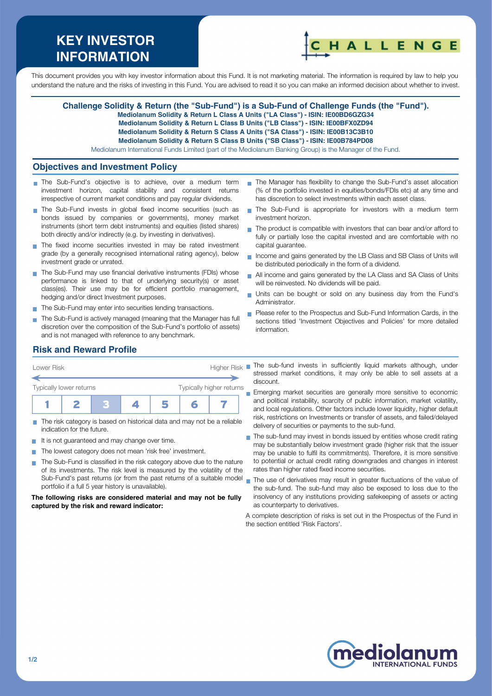# **KEY INVESTOR INFORMATION**



This document provides you with key investor information about this Fund. It is not marketing material. The information is required by law to help you understand the nature and the risks of investing in this Fund. You are advised to read it so you can make an informed decision about whether to invest.

#### **Challenge Solidity & Return (the "Sub-Fund") is a Sub-Fund of Challenge Funds (the "Fund").**

**Mediolanum Solidity & Return L Class A Units ("LA Class") - ISIN: IE00BD6GZG34**

**Mediolanum Solidity & Return L Class B Units ("LB Class") - ISIN: IE00BFX0ZD94**

**Mediolanum Solidity & Return S Class A Units ("SA Class") - ISIN: IE00B13C3B10**

**Mediolanum Solidity & Return S Class B Units ("SB Class") - ISIN: IE00B784PD08**

Mediolanum International Funds Limited (part of the Mediolanum Banking Group) is the Manager of the Fund.

#### **Objectives and Investment Policy**

- The Sub-Fund's objective is to achieve, over a medium term investment horizon, capital stability and consistent returns irrespective of current market conditions and pay regular dividends.
- The Sub-Fund invests in global fixed income securities (such as bonds issued by companies or governments), money market instruments (short term debt instruments) and equities (listed shares) both directly and/or indirectly (e.g. by investing in derivatives).
- The fixed income securities invested in may be rated investment grade (by a generally recognised international rating agency), below investment grade or unrated.
- The Sub-Fund may use financial derivative instruments (FDIs) whose performance is linked to that of underlying security(s) or asset class(es). Their use may be for efficient portfolio management, hedging and/or direct Investment purposes.
- The Sub-Fund may enter into securities lending transactions.
- The Sub-Fund is actively managed (meaning that the Manager has full discretion over the composition of the Sub-Fund's portfolio of assets) and is not managed with reference to any benchmark.
- The Manager has flexibility to change the Sub-Fund's asset allocation (% of the portfolio invested in equities/bonds/FDIs etc) at any time and has discretion to select investments within each asset class.
- The Sub-Fund is appropriate for investors with a medium term  $\mathbf{r}$ investment horizon.
- The product is compatible with investors that can bear and/or afford to fully or partially lose the capital invested and are comfortable with no capital guarantee.
- Income and gains generated by the LB Class and SB Class of Units will  $\overline{\phantom{a}}$ be distributed periodically in the form of a dividend.
- All income and gains generated by the LA Class and SA Class of Units will be reinvested. No dividends will be paid.
- Units can be bought or sold on any business day from the Fund's Administrator.
- Please refer to the Prospectus and Sub-Fund Information Cards, in the sections titled 'Investment Objectives and Policies' for more detailed information.

## **Risk and Reward Profile**

| Lower Risk              |  |  | <b>Higher Risk</b>       |  |  |  |  |
|-------------------------|--|--|--------------------------|--|--|--|--|
| Typically lower returns |  |  | Typically higher returns |  |  |  |  |
|                         |  |  |                          |  |  |  |  |

- The risk category is based on historical data and may not be a reliable indication for the future.
- It is not guaranteed and may change over time.
- The lowest category does not mean 'risk free' investment.
- The Sub-Fund is classified in the risk category above due to the nature  $\sim$ of its investments. The risk level is measured by the volatility of the portfolio if a full 5 year history is unavailable).

**The following risks are considered material and may not be fully captured by the risk and reward indicator:**

The sub-fund invests in sufficiently liquid markets although, under stressed market conditions, it may only be able to sell assets at a discount.

**Emerging market securities are generally more sensitive to economic** and political instability, scarcity of public information, market volatility, and local regulations. Other factors include lower liquidity, higher default risk, restrictions on Investments or transfer of assets, and failed/delayed delivery of securities or payments to the sub-fund.

- The sub-fund may invest in bonds issued by entities whose credit rating may be substantially below investment grade (higher risk that the issuer may be unable to fulfil its commitments). Therefore, it is more sensitive to potential or actual credit rating downgrades and changes in interest rates than higher rated fixed income securities.
- Sub-Fund's past returns (or from the past returns of a suitable model name use of derivatives may result in greater fluctuations of the value of the sub-fund. The sub-fund may also be exposed to loss due to the insolvency of any institutions providing safekeeping of assets or acting as counterparty to derivatives.

A complete description of risks is set out in the Prospectus of the Fund in the section entitled 'Risk Factors'.